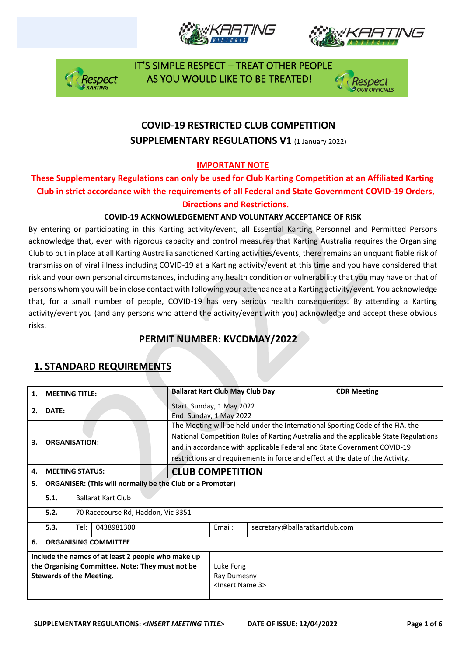





 IT'S SIMPLE RESPECT – TREAT OTHER PEOPLE Respect AS YOU WOULD LIKE TO BE TREATED!



# **COVID-19 RESTRICTED CLUB COMPETITION SUPPLEMENTARY REGULATIONS V1 (1 January 2022)**

### **IMPORTANT NOTE**

### **These Supplementary Regulations can only be used for Club Karting Competition at an Affiliated Karting Club in strict accordance with the requirements of all Federal and State Government COVID-19 Orders, Directions and Restrictions.**

#### **COVID-19 ACKNOWLEDGEMENT AND VOLUNTARY ACCEPTANCE OF RISK**

By entering or participating in this Karting activity/event, all Essential Karting Personnel and Permitted Persons acknowledge that, even with rigorous capacity and control measures that Karting Australia requires the Organising Club to put in place at all Karting Australia sanctioned Karting activities/events, there remains an unquantifiable risk of transmission of viral illness including COVID-19 at a Karting activity/event at this time and you have considered that risk and your own personal circumstances, including any health condition or vulnerability that you may have or that of persons whom you will be in close contact with following your attendance at a Karting activity/event. You acknowledge that, for a small number of people, COVID-19 has very serious health consequences. By attending a Karting activity/event you (and any persons who attend the activity/event with you) acknowledge and accept these obvious risks.

## **PERMIT NUMBER: KVCDMAY/2022**

| 1.                                                                                                                                        | <b>MEETING TITLE:</b>             |                                    |                                                                  | <b>Ballarat Kart Club May Club Day</b> |                                                                                                                                                                                                                                                                                                                                     |                                | <b>CDR Meeting</b> |  |  |
|-------------------------------------------------------------------------------------------------------------------------------------------|-----------------------------------|------------------------------------|------------------------------------------------------------------|----------------------------------------|-------------------------------------------------------------------------------------------------------------------------------------------------------------------------------------------------------------------------------------------------------------------------------------------------------------------------------------|--------------------------------|--------------------|--|--|
| 2.                                                                                                                                        | DATE:                             |                                    |                                                                  |                                        | Start: Sunday, 1 May 2022<br>End: Sunday, 1 May 2022                                                                                                                                                                                                                                                                                |                                |                    |  |  |
| 3.                                                                                                                                        | <b>ORGANISATION:</b>              |                                    |                                                                  |                                        | The Meeting will be held under the International Sporting Code of the FIA, the<br>National Competition Rules of Karting Australia and the applicable State Regulations<br>and in accordance with applicable Federal and State Government COVID-19<br>restrictions and requirements in force and effect at the date of the Activity. |                                |                    |  |  |
| 4.                                                                                                                                        | <b>MEETING STATUS:</b>            |                                    |                                                                  |                                        | <b>CLUB COMPETITION</b>                                                                                                                                                                                                                                                                                                             |                                |                    |  |  |
| 5.                                                                                                                                        |                                   |                                    | <b>ORGANISER: (This will normally be the Club or a Promoter)</b> |                                        |                                                                                                                                                                                                                                                                                                                                     |                                |                    |  |  |
|                                                                                                                                           | 5.1.<br><b>Ballarat Kart Club</b> |                                    |                                                                  |                                        |                                                                                                                                                                                                                                                                                                                                     |                                |                    |  |  |
|                                                                                                                                           | 5.2.                              | 70 Racecourse Rd, Haddon, Vic 3351 |                                                                  |                                        |                                                                                                                                                                                                                                                                                                                                     |                                |                    |  |  |
|                                                                                                                                           | 5.3.                              | Tel:<br>0438981300                 |                                                                  |                                        | Email:                                                                                                                                                                                                                                                                                                                              | secretary@ballaratkartclub.com |                    |  |  |
| 6.                                                                                                                                        | <b>ORGANISING COMMITTEE</b>       |                                    |                                                                  |                                        |                                                                                                                                                                                                                                                                                                                                     |                                |                    |  |  |
| Include the names of at least 2 people who make up<br>the Organising Committee. Note: They must not be<br><b>Stewards of the Meeting.</b> |                                   |                                    |                                                                  |                                        | Luke Fong<br>Ray Dumesny<br><lnsert 3="" name=""></lnsert>                                                                                                                                                                                                                                                                          |                                |                    |  |  |

## **1. STANDARD REQUIREMENTS**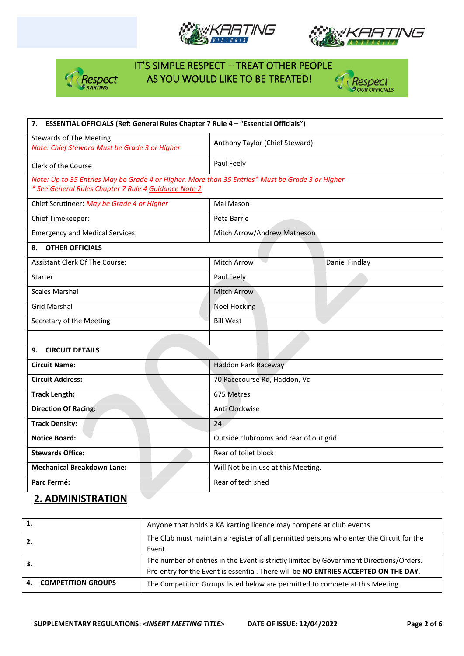





# IT'S SIMPLE RESPECT – TREAT OTHER PEOPLE Respect AS YOU WOULD LIKE TO BE TREATED!



| 7. ESSENTIAL OFFICIALS (Ref: General Rules Chapter 7 Rule 4 - "Essential Officials")                                                                     |                                        |  |  |  |
|----------------------------------------------------------------------------------------------------------------------------------------------------------|----------------------------------------|--|--|--|
| <b>Stewards of The Meeting</b><br>Note: Chief Steward Must be Grade 3 or Higher                                                                          | Anthony Taylor (Chief Steward)         |  |  |  |
| Clerk of the Course                                                                                                                                      | Paul Feely                             |  |  |  |
| Note: Up to 35 Entries May be Grade 4 or Higher. More than 35 Entries* Must be Grade 3 or Higher<br>* See General Rules Chapter 7 Rule 4 Guidance Note 2 |                                        |  |  |  |
| Chief Scrutineer: May be Grade 4 or Higher                                                                                                               | Mal Mason                              |  |  |  |
| Chief Timekeeper:                                                                                                                                        | Peta Barrie                            |  |  |  |
| <b>Emergency and Medical Services:</b>                                                                                                                   | Mitch Arrow/Andrew Matheson            |  |  |  |
| <b>OTHER OFFICIALS</b><br>8.                                                                                                                             |                                        |  |  |  |
| <b>Assistant Clerk Of The Course:</b>                                                                                                                    | <b>Mitch Arrow</b><br>Daniel Findlay   |  |  |  |
| Starter                                                                                                                                                  | Paul Feely                             |  |  |  |
| <b>Scales Marshal</b>                                                                                                                                    | <b>Mitch Arrow</b>                     |  |  |  |
| <b>Grid Marshal</b>                                                                                                                                      | <b>Noel Hocking</b>                    |  |  |  |
| Secretary of the Meeting                                                                                                                                 | <b>Bill West</b>                       |  |  |  |
|                                                                                                                                                          |                                        |  |  |  |
| <b>CIRCUIT DETAILS</b><br>9.                                                                                                                             |                                        |  |  |  |
| <b>Circuit Name:</b>                                                                                                                                     | Haddon Park Raceway                    |  |  |  |
| <b>Circuit Address:</b>                                                                                                                                  | 70 Racecourse Rd, Haddon, Vc           |  |  |  |
| <b>Track Length:</b>                                                                                                                                     | 675 Metres                             |  |  |  |
| <b>Direction Of Racing:</b>                                                                                                                              | Anti Clockwise                         |  |  |  |
| <b>Track Density:</b>                                                                                                                                    | 24                                     |  |  |  |
| <b>Notice Board:</b>                                                                                                                                     | Outside clubrooms and rear of out grid |  |  |  |
| <b>Stewards Office:</b>                                                                                                                                  | Rear of toilet block                   |  |  |  |
| <b>Mechanical Breakdown Lane:</b>                                                                                                                        | Will Not be in use at this Meeting.    |  |  |  |
| Parc Fermé:                                                                                                                                              | Rear of tech shed                      |  |  |  |

## **2. ADMINISTRATION**

| 1.  |                           | Anyone that holds a KA karting licence may compete at club events                        |
|-----|---------------------------|------------------------------------------------------------------------------------------|
| -2. |                           | The Club must maintain a register of all permitted persons who enter the Circuit for the |
|     |                           | Event.                                                                                   |
|     |                           | The number of entries in the Event is strictly limited by Government Directions/Orders.  |
|     |                           | Pre-entry for the Event is essential. There will be NO ENTRIES ACCEPTED ON THE DAY.      |
| 4.  | <b>COMPETITION GROUPS</b> | The Competition Groups listed below are permitted to compete at this Meeting.            |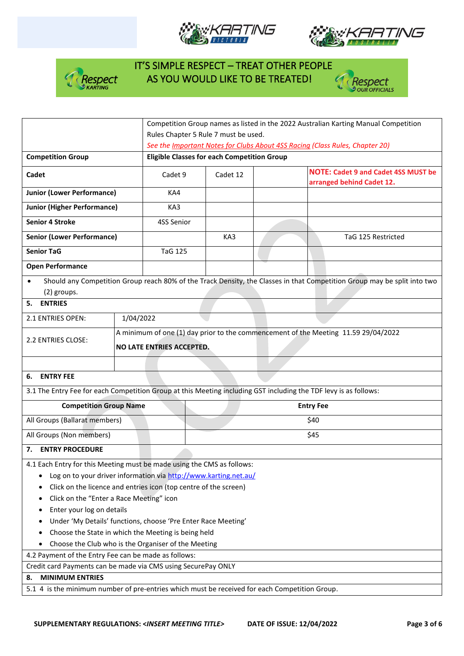





# IT'S SIMPLE RESPECT – TREAT OTHER PEOPLE  $\frac{1}{2}$  Respect AS YOU WOULD LIKE TO BE TREATED!



|                                                                                                                               |                                                                  |                                                                                    |  | Competition Group names as listed in the 2022 Australian Karting Manual Competition                                      |  |  |
|-------------------------------------------------------------------------------------------------------------------------------|------------------------------------------------------------------|------------------------------------------------------------------------------------|--|--------------------------------------------------------------------------------------------------------------------------|--|--|
|                                                                                                                               |                                                                  | Rules Chapter 5 Rule 7 must be used.                                               |  |                                                                                                                          |  |  |
|                                                                                                                               |                                                                  | See the Important Notes for Clubs About 4SS Racing (Class Rules, Chapter 20)       |  |                                                                                                                          |  |  |
| <b>Competition Group</b>                                                                                                      |                                                                  | <b>Eligible Classes for each Competition Group</b>                                 |  |                                                                                                                          |  |  |
| Cadet                                                                                                                         | Cadet 9                                                          | Cadet 12                                                                           |  | <b>NOTE: Cadet 9 and Cadet 4SS MUST be</b><br>arranged behind Cadet 12.                                                  |  |  |
| <b>Junior (Lower Performance)</b>                                                                                             | KA4                                                              |                                                                                    |  |                                                                                                                          |  |  |
| <b>Junior (Higher Performance)</b>                                                                                            | KA3                                                              |                                                                                    |  |                                                                                                                          |  |  |
| <b>Senior 4 Stroke</b>                                                                                                        | 4SS Senior                                                       |                                                                                    |  |                                                                                                                          |  |  |
| <b>Senior (Lower Performance)</b>                                                                                             |                                                                  | KA3                                                                                |  | TaG 125 Restricted                                                                                                       |  |  |
| <b>Senior TaG</b>                                                                                                             | <b>TaG 125</b>                                                   |                                                                                    |  |                                                                                                                          |  |  |
| <b>Open Performance</b>                                                                                                       |                                                                  |                                                                                    |  |                                                                                                                          |  |  |
| (2) groups.                                                                                                                   |                                                                  |                                                                                    |  | Should any Competition Group reach 80% of the Track Density, the Classes in that Competition Group may be split into two |  |  |
| 5.<br><b>ENTRIES</b>                                                                                                          |                                                                  |                                                                                    |  |                                                                                                                          |  |  |
| 2.1 ENTRIES OPEN:                                                                                                             | 1/04/2022                                                        |                                                                                    |  |                                                                                                                          |  |  |
| 2.2 ENTRIES CLOSE:                                                                                                            | NO LATE ENTRIES ACCEPTED.                                        | A minimum of one (1) day prior to the commencement of the Meeting 11.59 29/04/2022 |  |                                                                                                                          |  |  |
|                                                                                                                               |                                                                  |                                                                                    |  |                                                                                                                          |  |  |
|                                                                                                                               |                                                                  |                                                                                    |  |                                                                                                                          |  |  |
| 6. ENTRY FEE                                                                                                                  |                                                                  |                                                                                    |  |                                                                                                                          |  |  |
| 3.1 The Entry Fee for each Competition Group at this Meeting including GST including the TDF levy is as follows:              |                                                                  |                                                                                    |  |                                                                                                                          |  |  |
| <b>Competition Group Name</b>                                                                                                 |                                                                  |                                                                                    |  | <b>Entry Fee</b>                                                                                                         |  |  |
| All Groups (Ballarat members)                                                                                                 |                                                                  |                                                                                    |  | \$40                                                                                                                     |  |  |
| All Groups (Non members)                                                                                                      |                                                                  |                                                                                    |  | \$45                                                                                                                     |  |  |
| <b>ENTRY PROCEDURE</b><br>7.                                                                                                  |                                                                  |                                                                                    |  |                                                                                                                          |  |  |
| 4.1 Each Entry for this Meeting must be made using the CMS as follows:                                                        |                                                                  |                                                                                    |  |                                                                                                                          |  |  |
|                                                                                                                               | Log on to your driver information via http://www.karting.net.au/ |                                                                                    |  |                                                                                                                          |  |  |
|                                                                                                                               | Click on the licence and entries icon (top centre of the screen) |                                                                                    |  |                                                                                                                          |  |  |
| Click on the "Enter a Race Meeting" icon<br>٠                                                                                 |                                                                  |                                                                                    |  |                                                                                                                          |  |  |
| Enter your log on details                                                                                                     |                                                                  |                                                                                    |  |                                                                                                                          |  |  |
|                                                                                                                               | Under 'My Details' functions, choose 'Pre Enter Race Meeting'    |                                                                                    |  |                                                                                                                          |  |  |
|                                                                                                                               | Choose the State in which the Meeting is being held              |                                                                                    |  |                                                                                                                          |  |  |
|                                                                                                                               | Choose the Club who is the Organiser of the Meeting              |                                                                                    |  |                                                                                                                          |  |  |
| 4.2 Payment of the Entry Fee can be made as follows:                                                                          |                                                                  |                                                                                    |  |                                                                                                                          |  |  |
| Credit card Payments can be made via CMS using SecurePay ONLY                                                                 |                                                                  |                                                                                    |  |                                                                                                                          |  |  |
| <b>MINIMUM ENTRIES</b><br>8.<br>5.1 4 is the minimum number of pre-entries which must be received for each Competition Group. |                                                                  |                                                                                    |  |                                                                                                                          |  |  |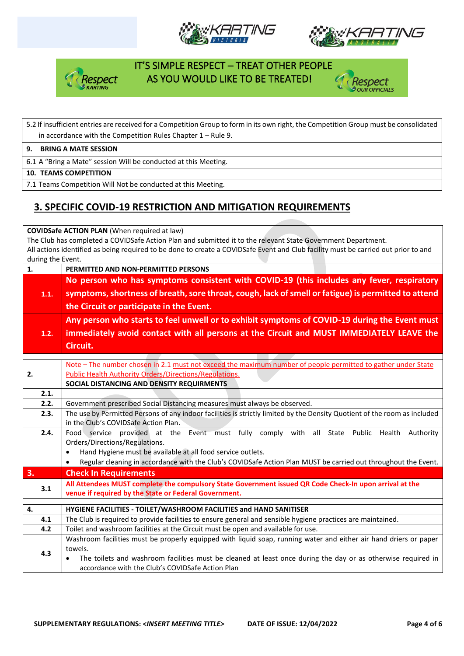





## IT'S SIMPLE RESPECT – TREAT OTHER PEOPLE espect AS YOU WOULD LIKE TO BE TREATED!



#### 5.2 If insufficient entries are received for a Competition Group to form in its own right, the Competition Group must be consolidated in accordance with the Competition Rules Chapter 1 – Rule 9.

**9. BRING A MATE SESSION**

6.1 A "Bring a Mate" session Will be conducted at this Meeting.

**10. TEAMS COMPETITION**

7.1 Teams Competition Will Not be conducted at this Meeting.

## **3. SPECIFIC COVID-19 RESTRICTION AND MITIGATION REQUIREMENTS**

**COVIDSafe ACTION PLAN** (When required at law)

The Club has completed a COVIDSafe Action Plan and submitted it to the relevant State Government Department. All actions identified as being required to be done to create a COVIDSafe Event and Club facility must be carried out prior to and during the Event.

| 1.   | PERMITTED AND NON-PERMITTED PERSONS                                                                                       |  |  |  |  |
|------|---------------------------------------------------------------------------------------------------------------------------|--|--|--|--|
|      | No person who has symptoms consistent with COVID-19 (this includes any fever, respiratory                                 |  |  |  |  |
| 1.1. | symptoms, shortness of breath, sore throat, cough, lack of smell or fatigue) is permitted to attend                       |  |  |  |  |
|      | the Circuit or participate in the Event.                                                                                  |  |  |  |  |
|      |                                                                                                                           |  |  |  |  |
|      | Any person who starts to feel unwell or to exhibit symptoms of COVID-19 during the Event must                             |  |  |  |  |
| 1.2. | immediately avoid contact with all persons at the Circuit and MUST IMMEDIATELY LEAVE the                                  |  |  |  |  |
|      | Circuit.                                                                                                                  |  |  |  |  |
|      |                                                                                                                           |  |  |  |  |
|      | Note - The number chosen in 2.1 must not exceed the maximum number of people permitted to gather under State              |  |  |  |  |
| 2.   | <b>Public Health Authority Orders/Directions/Regulations.</b>                                                             |  |  |  |  |
|      | SOCIAL DISTANCING AND DENSITY REQUIRMENTS                                                                                 |  |  |  |  |
| 2.1. |                                                                                                                           |  |  |  |  |
| 2.2. | Government prescribed Social Distancing measures must always be observed.                                                 |  |  |  |  |
| 2.3. | The use by Permitted Persons of any indoor facilities is strictly limited by the Density Quotient of the room as included |  |  |  |  |
|      | in the Club's COVIDSafe Action Plan.                                                                                      |  |  |  |  |
| 2.4. | Food service provided at the Event must fully comply with all State Public Health<br>Authority                            |  |  |  |  |
|      | Orders/Directions/Regulations.                                                                                            |  |  |  |  |
|      | Hand Hygiene must be available at all food service outlets.<br>$\bullet$                                                  |  |  |  |  |
|      | Regular cleaning in accordance with the Club's COVIDSafe Action Plan MUST be carried out throughout the Event.            |  |  |  |  |
| 3.   | <b>Check In Requirements</b>                                                                                              |  |  |  |  |
| 3.1  | All Attendees MUST complete the compulsory State Government issued QR Code Check-In upon arrival at the                   |  |  |  |  |
|      | venue if required by the State or Federal Government.                                                                     |  |  |  |  |
| 4.   |                                                                                                                           |  |  |  |  |
|      | HYGIENE FACILITIES - TOILET/WASHROOM FACILITIES and HAND SANITISER                                                        |  |  |  |  |
| 4.1  | The Club is required to provide facilities to ensure general and sensible hygiene practices are maintained.               |  |  |  |  |
| 4.2  | Toilet and washroom facilities at the Circuit must be open and available for use.                                         |  |  |  |  |
|      | Washroom facilities must be properly equipped with liquid soap, running water and either air hand driers or paper         |  |  |  |  |
| 4.3  | towels.                                                                                                                   |  |  |  |  |
|      | The toilets and washroom facilities must be cleaned at least once during the day or as otherwise required in              |  |  |  |  |
|      | accordance with the Club's COVIDSafe Action Plan                                                                          |  |  |  |  |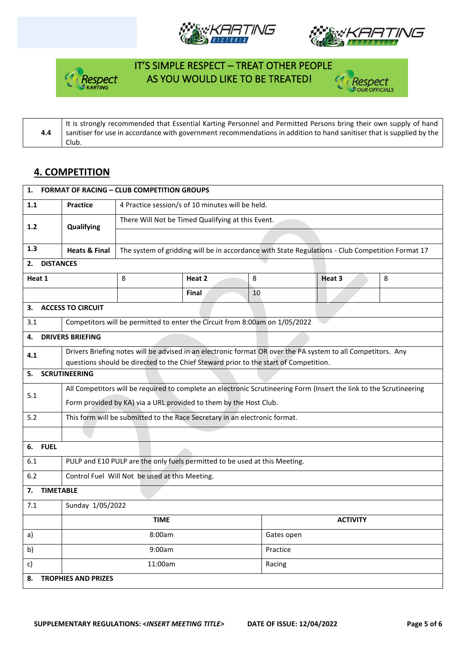





# IT'S SIMPLE RESPECT – TREAT OTHER PEOPLE espect AS YOU WOULD LIKE TO BE TREATED!



**4.4** It is strongly recommended that Essential Karting Personnel and Permitted Persons bring their own supply of hand sanitiser for use in accordance with government recommendations in addition to hand sanitiser that is supplied by the Club.

### **4. COMPETITION**

| 1.                               | <b>FORMAT OF RACING - CLUB COMPETITION GROUPS</b>                                                                   |                                                                                                  |              |          |                                                                                                              |   |  |
|----------------------------------|---------------------------------------------------------------------------------------------------------------------|--------------------------------------------------------------------------------------------------|--------------|----------|--------------------------------------------------------------------------------------------------------------|---|--|
| 1.1                              | <b>Practice</b>                                                                                                     | 4 Practice session/s of 10 minutes will be held.                                                 |              |          |                                                                                                              |   |  |
| 1.2                              | Qualifying                                                                                                          | There Will Not be Timed Qualifying at this Event.                                                |              |          |                                                                                                              |   |  |
|                                  |                                                                                                                     |                                                                                                  |              |          |                                                                                                              |   |  |
| 1.3                              | <b>Heats &amp; Final</b>                                                                                            | The system of gridding will be in accordance with State Regulations - Club Competition Format 17 |              |          |                                                                                                              |   |  |
| 2.                               | <b>DISTANCES</b>                                                                                                    |                                                                                                  |              |          |                                                                                                              |   |  |
| Heat 1                           |                                                                                                                     | 8                                                                                                | Heat 2       | 8        | Heat 3                                                                                                       | 8 |  |
|                                  |                                                                                                                     |                                                                                                  | <b>Final</b> | 10       |                                                                                                              |   |  |
| 3.                               | <b>ACCESS TO CIRCUIT</b>                                                                                            |                                                                                                  |              |          |                                                                                                              |   |  |
| 3.1                              |                                                                                                                     | Competitors will be permitted to enter the Circuit from 8:00am on 1/05/2022                      |              |          |                                                                                                              |   |  |
| 4.                               | <b>DRIVERS BRIEFING</b>                                                                                             |                                                                                                  |              |          |                                                                                                              |   |  |
| 4.1                              |                                                                                                                     |                                                                                                  |              |          | Drivers Briefing notes will be advised in an electronic format OR over the PA system to all Competitors. Any |   |  |
|                                  |                                                                                                                     | questions should be directed to the Chief Steward prior to the start of Competition.             |              |          |                                                                                                              |   |  |
| 5.                               | <b>SCRUTINEERING</b>                                                                                                |                                                                                                  |              |          |                                                                                                              |   |  |
| 5.1                              | All Competitors will be required to complete an electronic Scrutineering Form (Insert the link to the Scrutineering |                                                                                                  |              |          |                                                                                                              |   |  |
|                                  | Form provided by KA) via a URL provided to them by the Host Club.                                                   |                                                                                                  |              |          |                                                                                                              |   |  |
| 5.2                              | This form will be submitted to the Race Secretary in an electronic format.                                          |                                                                                                  |              |          |                                                                                                              |   |  |
|                                  |                                                                                                                     |                                                                                                  |              |          |                                                                                                              |   |  |
| <b>FUEL</b><br>6.                |                                                                                                                     |                                                                                                  |              |          |                                                                                                              |   |  |
| 6.1                              | PULP and E10 PULP are the only fuels permitted to be used at this Meeting.                                          |                                                                                                  |              |          |                                                                                                              |   |  |
| 6.2                              | Control Fuel Will Not be used at this Meeting.                                                                      |                                                                                                  |              |          |                                                                                                              |   |  |
| <b>TIMETABLE</b><br>7.           |                                                                                                                     |                                                                                                  |              |          |                                                                                                              |   |  |
| 7.1                              | Sunday 1/05/2022                                                                                                    |                                                                                                  |              |          |                                                                                                              |   |  |
|                                  |                                                                                                                     | <b>TIME</b>                                                                                      |              |          | <b>ACTIVITY</b>                                                                                              |   |  |
| a)                               |                                                                                                                     | 8:00am                                                                                           |              |          | Gates open                                                                                                   |   |  |
| b)                               |                                                                                                                     | 9:00am                                                                                           |              | Practice |                                                                                                              |   |  |
| C)                               |                                                                                                                     | 11:00am                                                                                          |              | Racing   |                                                                                                              |   |  |
| <b>TROPHIES AND PRIZES</b><br>8. |                                                                                                                     |                                                                                                  |              |          |                                                                                                              |   |  |